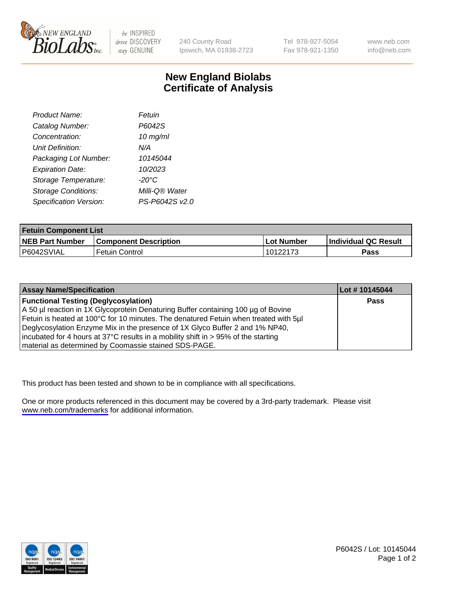

be INSPIRED drive DISCOVERY stay GENUINE

240 County Road Ipswich, MA 01938-2723 Tel 978-927-5054 Fax 978-921-1350

www.neb.com info@neb.com

## **New England Biolabs Certificate of Analysis**

| Product Name:              | Fetuin          |
|----------------------------|-----------------|
| Catalog Number:            | P6042S          |
| Concentration:             | $10$ mg/ml      |
| <b>Unit Definition:</b>    | N/A             |
| Packaging Lot Number:      | 10145044        |
| <b>Expiration Date:</b>    | 10/2023         |
| Storage Temperature:       | $-20^{\circ}$ C |
| <b>Storage Conditions:</b> | Milli-Q® Water  |
| Specification Version:     | PS-P6042S v2.0  |

| <b>Fetuin Component List</b> |                              |            |                      |  |
|------------------------------|------------------------------|------------|----------------------|--|
| <b>NEB Part Number</b>       | <b>Component Description</b> | Lot Number | Individual QC Result |  |
| P6042SVIAL                   | Fetuin Control               | 10122173'  | Pass                 |  |

| <b>Assay Name/Specification</b>                                                      | Lot #10145044 |
|--------------------------------------------------------------------------------------|---------------|
| <b>Functional Testing (Deglycosylation)</b>                                          | <b>Pass</b>   |
| A 50 µl reaction in 1X Glycoprotein Denaturing Buffer containing 100 µg of Bovine    |               |
| Fetuin is heated at 100°C for 10 minutes. The denatured Fetuin when treated with 5µl |               |
| Deglycosylation Enzyme Mix in the presence of 1X Glyco Buffer 2 and 1% NP40,         |               |
| incubated for 4 hours at 37°C results in a mobility shift in > 95% of the starting   |               |
| material as determined by Coomassie stained SDS-PAGE.                                |               |

This product has been tested and shown to be in compliance with all specifications.

One or more products referenced in this document may be covered by a 3rd-party trademark. Please visit <www.neb.com/trademarks>for additional information.